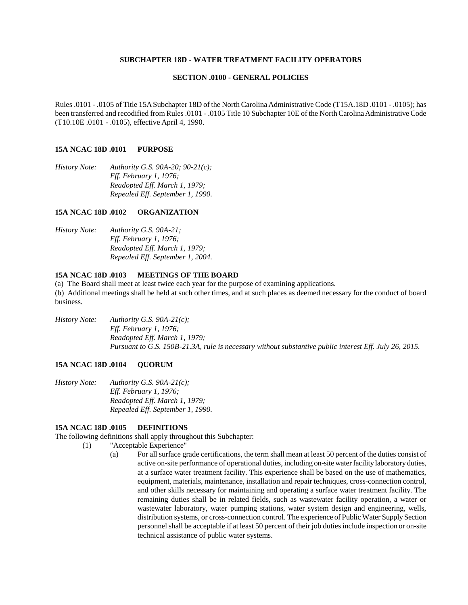#### **SUBCHAPTER 18D - WATER TREATMENT FACILITY OPERATORS**

### **SECTION .0100 - GENERAL POLICIES**

Rules .0101 - .0105 of Title 15A Subchapter 18D of the North Carolina Administrative Code (T15A.18D .0101 - .0105); has been transferred and recodified from Rules .0101 - .0105 Title 10 Subchapter 10E of the North Carolina Administrative Code (T10.10E .0101 - .0105), effective April 4, 1990.

### **15A NCAC 18D .0101 PURPOSE**

*History Note: Authority G.S. 90A-20; 90-21(c); Eff. February 1, 1976; Readopted Eff. March 1, 1979; Repealed Eff. September 1, 1990.*

## **15A NCAC 18D .0102 ORGANIZATION**

*History Note: Authority G.S. 90A-21; Eff. February 1, 1976; Readopted Eff. March 1, 1979; Repealed Eff. September 1, 2004.*

#### **15A NCAC 18D .0103 MEETINGS OF THE BOARD**

(a) The Board shall meet at least twice each year for the purpose of examining applications. (b) Additional meetings shall be held at such other times, and at such places as deemed necessary for the conduct of board business.

*History Note: Authority G.S. 90A-21(c); Eff. February 1, 1976; Readopted Eff. March 1, 1979; Pursuant to G.S. 150B-21.3A, rule is necessary without substantive public interest Eff. July 26, 2015.*

### **15A NCAC 18D .0104 QUORUM**

*History Note: Authority G.S. 90A-21(c); Eff. February 1, 1976; Readopted Eff. March 1, 1979; Repealed Eff. September 1, 1990.*

## **15A NCAC 18D .0105 DEFINITIONS**

The following definitions shall apply throughout this Subchapter:

- (1) "Acceptable Experience"
	- (a) For all surface grade certifications, the term shall mean at least 50 percent of the duties consist of active on-site performance of operational duties, including on-site water facility laboratory duties, at a surface water treatment facility. This experience shall be based on the use of mathematics, equipment, materials, maintenance, installation and repair techniques, cross-connection control, and other skills necessary for maintaining and operating a surface water treatment facility. The remaining duties shall be in related fields, such as wastewater facility operation, a water or wastewater laboratory, water pumping stations, water system design and engineering, wells, distribution systems, or cross-connection control. The experience of Public Water Supply Section personnel shall be acceptable if at least 50 percent of their job duties include inspection or on-site technical assistance of public water systems.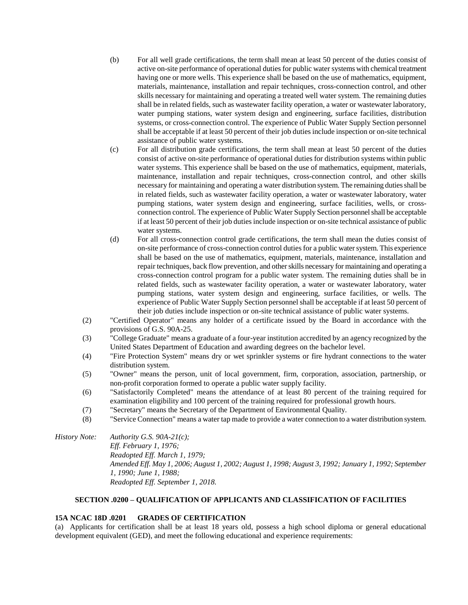- (b) For all well grade certifications, the term shall mean at least 50 percent of the duties consist of active on-site performance of operational duties for public water systems with chemical treatment having one or more wells. This experience shall be based on the use of mathematics, equipment, materials, maintenance, installation and repair techniques, cross-connection control, and other skills necessary for maintaining and operating a treated well water system. The remaining duties shall be in related fields, such as wastewater facility operation, a water or wastewater laboratory, water pumping stations, water system design and engineering, surface facilities, distribution systems, or cross-connection control. The experience of Public Water Supply Section personnel shall be acceptable if at least 50 percent of their job duties include inspection or on-site technical assistance of public water systems.
- (c) For all distribution grade certifications, the term shall mean at least 50 percent of the duties consist of active on-site performance of operational duties for distribution systems within public water systems. This experience shall be based on the use of mathematics, equipment, materials, maintenance, installation and repair techniques, cross-connection control, and other skills necessary for maintaining and operating a water distribution system. The remaining duties shall be in related fields, such as wastewater facility operation, a water or wastewater laboratory, water pumping stations, water system design and engineering, surface facilities, wells, or crossconnection control. The experience of Public Water Supply Section personnel shall be acceptable if at least 50 percent of their job duties include inspection or on-site technical assistance of public water systems.
- (d) For all cross-connection control grade certifications, the term shall mean the duties consist of on-site performance of cross-connection control duties for a public water system. This experience shall be based on the use of mathematics, equipment, materials, maintenance, installation and repair techniques, back flow prevention, and other skills necessary for maintaining and operating a cross-connection control program for a public water system. The remaining duties shall be in related fields, such as wastewater facility operation, a water or wastewater laboratory, water pumping stations, water system design and engineering, surface facilities, or wells. The experience of Public Water Supply Section personnel shall be acceptable if at least 50 percent of their job duties include inspection or on-site technical assistance of public water systems.
- (2) "Certified Operator" means any holder of a certificate issued by the Board in accordance with the provisions of G.S. 90A-25.
- (3) "College Graduate" means a graduate of a four-year institution accredited by an agency recognized by the United States Department of Education and awarding degrees on the bachelor level.
- (4) "Fire Protection System" means dry or wet sprinkler systems or fire hydrant connections to the water distribution system.
- (5) "Owner" means the person, unit of local government, firm, corporation, association, partnership, or non-profit corporation formed to operate a public water supply facility.
- (6) "Satisfactorily Completed" means the attendance of at least 80 percent of the training required for examination eligibility and 100 percent of the training required for professional growth hours.
- (7) "Secretary" means the Secretary of the Department of Environmental Quality.
- (8) "Service Connection" means a water tap made to provide a water connection to a water distribution system.

*History Note: Authority G.S. 90A-21(c); Eff. February 1, 1976; Readopted Eff. March 1, 1979; Amended Eff. May 1, 2006; August 1, 2002; August 1, 1998; August 3, 1992; January 1, 1992; September 1, 1990; June 1, 1988; Readopted Eff. September 1, 2018.*

# **SECTION .0200 – QUALIFICATION OF APPLICANTS AND CLASSIFICATION OF FACILITIES**

# **15A NCAC 18D .0201 GRADES OF CERTIFICATION**

(a) Applicants for certification shall be at least 18 years old, possess a high school diploma or general educational development equivalent (GED), and meet the following educational and experience requirements: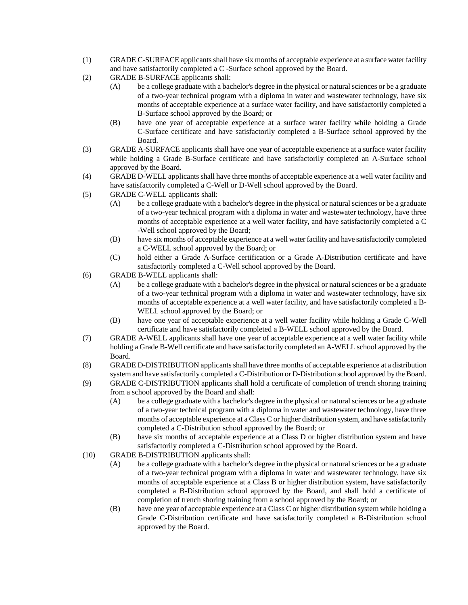- (1) GRADE C-SURFACE applicants shall have six months of acceptable experience at a surface water facility and have satisfactorily completed a C -Surface school approved by the Board.
- (2) GRADE B-SURFACE applicants shall:
	- (A) be a college graduate with a bachelor's degree in the physical or natural sciences or be a graduate of a two-year technical program with a diploma in water and wastewater technology, have six months of acceptable experience at a surface water facility, and have satisfactorily completed a B-Surface school approved by the Board; or
	- (B) have one year of acceptable experience at a surface water facility while holding a Grade C-Surface certificate and have satisfactorily completed a B-Surface school approved by the Board.
- (3) GRADE A-SURFACE applicants shall have one year of acceptable experience at a surface water facility while holding a Grade B-Surface certificate and have satisfactorily completed an A-Surface school approved by the Board.
- (4) GRADE D-WELL applicants shall have three months of acceptable experience at a well water facility and have satisfactorily completed a C-Well or D-Well school approved by the Board.
- (5) GRADE C-WELL applicants shall:
	- (A) be a college graduate with a bachelor's degree in the physical or natural sciences or be a graduate of a two-year technical program with a diploma in water and wastewater technology, have three months of acceptable experience at a well water facility, and have satisfactorily completed a C -Well school approved by the Board;
	- (B) have six months of acceptable experience at a well water facility and have satisfactorily completed a C-WELL school approved by the Board; or
	- (C) hold either a Grade A-Surface certification or a Grade A-Distribution certificate and have satisfactorily completed a C-Well school approved by the Board.
- (6) GRADE B-WELL applicants shall:
	- (A) be a college graduate with a bachelor's degree in the physical or natural sciences or be a graduate of a two-year technical program with a diploma in water and wastewater technology, have six months of acceptable experience at a well water facility, and have satisfactorily completed a B-WELL school approved by the Board; or
	- (B) have one year of acceptable experience at a well water facility while holding a Grade C-Well certificate and have satisfactorily completed a B-WELL school approved by the Board.
- (7) GRADE A-WELL applicants shall have one year of acceptable experience at a well water facility while holding a Grade B-Well certificate and have satisfactorily completed an A-WELL school approved by the Board.
- (8) GRADE D-DISTRIBUTION applicants shall have three months of acceptable experience at a distribution system and have satisfactorily completed a C-Distribution or D-Distribution school approved by the Board.
- (9) GRADE C-DISTRIBUTION applicants shall hold a certificate of completion of trench shoring training from a school approved by the Board and shall:
	- (A) be a college graduate with a bachelor's degree in the physical or natural sciences or be a graduate of a two-year technical program with a diploma in water and wastewater technology, have three months of acceptable experience at a Class C or higher distribution system, and have satisfactorily completed a C-Distribution school approved by the Board; or
	- (B) have six months of acceptable experience at a Class D or higher distribution system and have satisfactorily completed a C-Distribution school approved by the Board.
- (10) GRADE B-DISTRIBUTION applicants shall:
	- (A) be a college graduate with a bachelor's degree in the physical or natural sciences or be a graduate of a two-year technical program with a diploma in water and wastewater technology, have six months of acceptable experience at a Class B or higher distribution system, have satisfactorily completed a B-Distribution school approved by the Board, and shall hold a certificate of completion of trench shoring training from a school approved by the Board; or
	- (B) have one year of acceptable experience at a Class C or higher distribution system while holding a Grade C-Distribution certificate and have satisfactorily completed a B-Distribution school approved by the Board.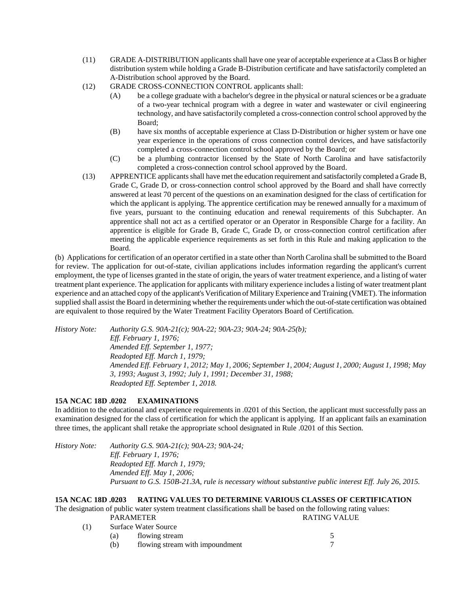- (11) GRADE A-DISTRIBUTION applicants shall have one year of acceptable experience at a Class B or higher distribution system while holding a Grade B-Distribution certificate and have satisfactorily completed an A-Distribution school approved by the Board.
- (12) GRADE CROSS-CONNECTION CONTROL applicants shall:
	- (A) be a college graduate with a bachelor's degree in the physical or natural sciences or be a graduate of a two-year technical program with a degree in water and wastewater or civil engineering technology, and have satisfactorily completed a cross-connection control school approved by the Board;
	- (B) have six months of acceptable experience at Class D-Distribution or higher system or have one year experience in the operations of cross connection control devices, and have satisfactorily completed a cross-connection control school approved by the Board; or
	- (C) be a plumbing contractor licensed by the State of North Carolina and have satisfactorily completed a cross-connection control school approved by the Board.
- (13) APPRENTICE applicants shall have met the education requirement and satisfactorily completed a Grade B, Grade C, Grade D, or cross-connection control school approved by the Board and shall have correctly answered at least 70 percent of the questions on an examination designed for the class of certification for which the applicant is applying. The apprentice certification may be renewed annually for a maximum of five years, pursuant to the continuing education and renewal requirements of this Subchapter. An apprentice shall not act as a certified operator or an Operator in Responsible Charge for a facility. An apprentice is eligible for Grade B, Grade C, Grade D, or cross-connection control certification after meeting the applicable experience requirements as set forth in this Rule and making application to the Board.

(b) Applications for certification of an operator certified in a state other than North Carolina shall be submitted to the Board for review. The application for out-of-state, civilian applications includes information regarding the applicant's current employment, the type of licenses granted in the state of origin, the years of water treatment experience, and a listing of water treatment plant experience. The application for applicants with military experience includes a listing of water treatment plant experience and an attached copy of the applicant's Verification of Military Experience and Training (VMET). The information supplied shall assist the Board in determining whether the requirements under which the out-of-state certification was obtained are equivalent to those required by the Water Treatment Facility Operators Board of Certification.

*History Note: Authority G.S. 90A-21(c); 90A-22; 90A-23; 90A-24; 90A-25(b); Eff. February 1, 1976; Amended Eff. September 1, 1977; Readopted Eff. March 1, 1979; Amended Eff. February 1, 2012; May 1, 2006; September 1, 2004; August 1, 2000; August 1, 1998; May 3, 1993; August 3, 1992; July 1, 1991; December 31, 1988; Readopted Eff. September 1, 2018.*

# **15A NCAC 18D .0202 EXAMINATIONS**

In addition to the educational and experience requirements in .0201 of this Section, the applicant must successfully pass an examination designed for the class of certification for which the applicant is applying. If an applicant fails an examination three times, the applicant shall retake the appropriate school designated in Rule .0201 of this Section.

*History Note: Authority G.S. 90A-21(c); 90A-23; 90A-24; Eff. February 1, 1976; Readopted Eff. March 1, 1979; Amended Eff. May 1, 2006; Pursuant to G.S. 150B-21.3A, rule is necessary without substantive public interest Eff. July 26, 2015.*

# **15A NCAC 18D .0203 RATING VALUES TO DETERMINE VARIOUS CLASSES OF CERTIFICATION**

The designation of public water system treatment classifications shall be based on the following rating values: PARAMETER RATING VALUE

- (1) Surface Water Source (a) flowing stream 5
	- (b) flowing stream with impoundment 7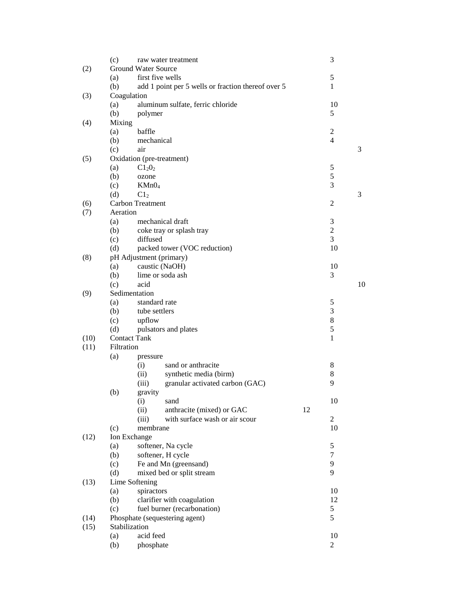|              | (c)                        |                                                 | raw water treatment                                |    | 3                   |    |  |
|--------------|----------------------------|-------------------------------------------------|----------------------------------------------------|----|---------------------|----|--|
| (2)          | <b>Ground Water Source</b> |                                                 |                                                    |    |                     |    |  |
|              | first five wells<br>(a)    |                                                 |                                                    |    |                     |    |  |
|              | (b)                        |                                                 | add 1 point per 5 wells or fraction thereof over 5 |    | $\mathbf{1}$        |    |  |
| (3)          | Coagulation                |                                                 |                                                    |    |                     |    |  |
|              | (a)                        |                                                 | aluminum sulfate, ferric chloride                  |    | 10                  |    |  |
|              | (b)                        | polymer                                         |                                                    |    | 5                   |    |  |
| (4)          | Mixing                     |                                                 |                                                    |    |                     |    |  |
|              | (a)                        | baffle                                          |                                                    |    | 2                   |    |  |
|              | (b)                        | mechanical                                      |                                                    |    | $\overline{4}$      |    |  |
|              | (c)                        | air                                             |                                                    |    |                     | 3  |  |
| (5)          | Oxidation (pre-treatment)  |                                                 |                                                    |    |                     |    |  |
|              | (a)                        | $C1_20_2$                                       |                                                    |    | 5                   |    |  |
|              | (b)                        | ozone                                           |                                                    |    | 5                   |    |  |
|              | (c)                        | KMnO <sub>4</sub>                               |                                                    |    | 3                   |    |  |
|              | (d)                        | C1 <sub>2</sub>                                 |                                                    |    |                     | 3  |  |
| (6)          |                            | Carbon Treatment                                |                                                    |    | 2                   |    |  |
| (7)          | Aeration                   |                                                 |                                                    |    |                     |    |  |
|              | (a)                        |                                                 | mechanical draft                                   |    | 3                   |    |  |
|              | (b)                        |                                                 | coke tray or splash tray                           |    | $\overline{2}$      |    |  |
|              | (c)                        | diffused                                        |                                                    |    | 3                   |    |  |
|              | (d)                        |                                                 | packed tower (VOC reduction)                       |    | 10                  |    |  |
| (8)          |                            | pH Adjustment (primary)                         |                                                    |    |                     |    |  |
|              | (a)                        |                                                 | caustic (NaOH)                                     |    | 10                  |    |  |
|              | (b)                        |                                                 | lime or soda ash                                   |    | 3                   |    |  |
|              | (c)                        | acid                                            |                                                    |    |                     | 10 |  |
| (9)          | Sedimentation              |                                                 |                                                    |    |                     |    |  |
|              | (a)                        | standard rate                                   |                                                    |    | 5                   |    |  |
|              | (b)                        | tube settlers                                   |                                                    |    | 3                   |    |  |
|              | (c)                        | upflow                                          |                                                    |    | 8                   |    |  |
|              | (d)                        |                                                 | pulsators and plates                               |    | 5                   |    |  |
| (10)         | <b>Contact Tank</b>        |                                                 |                                                    |    | 1                   |    |  |
| (11)         | Filtration                 |                                                 |                                                    |    |                     |    |  |
|              | (a)                        | pressure                                        |                                                    |    |                     |    |  |
|              |                            | (i)                                             | sand or anthracite                                 |    | 8                   |    |  |
|              |                            | (ii)                                            | synthetic media (birm)                             |    | 8                   |    |  |
|              |                            | (iii)                                           | granular activated carbon (GAC)                    |    | 9                   |    |  |
|              | (b)                        | gravity                                         |                                                    |    |                     |    |  |
|              |                            | (i)                                             | sand                                               |    | 10                  |    |  |
|              |                            | (ii)                                            | anthracite (mixed) or GAC                          | 12 |                     |    |  |
|              |                            | (iii)                                           | with surface wash or air scour                     |    | $\overline{c}$      |    |  |
|              | (c)                        | membrane                                        |                                                    |    | 10                  |    |  |
| (12)         | Ion Exchange               |                                                 |                                                    |    |                     |    |  |
|              | (a)                        |                                                 | softener, Na cycle                                 |    | 5<br>$\overline{7}$ |    |  |
|              | (b)                        |                                                 | softener, H cycle                                  |    | 9                   |    |  |
|              | (c)                        |                                                 | Fe and Mn (greensand)                              |    | 9                   |    |  |
|              | (d)                        |                                                 | mixed bed or split stream                          |    |                     |    |  |
| (13)         | Lime Softening             |                                                 |                                                    |    |                     |    |  |
|              | (a)                        | spiractors                                      |                                                    |    | 10<br>12            |    |  |
|              | (b)                        |                                                 | clarifier with coagulation                         |    |                     |    |  |
|              | (c)                        | 5<br>fuel burner (recarbonation)<br>5           |                                                    |    |                     |    |  |
| (14)<br>(15) |                            | Phosphate (sequestering agent)<br>Stabilization |                                                    |    |                     |    |  |
|              | (a)                        | acid feed                                       |                                                    |    | 10                  |    |  |
|              | (b)                        | phosphate                                       |                                                    |    | $\mathfrak{2}$      |    |  |
|              |                            |                                                 |                                                    |    |                     |    |  |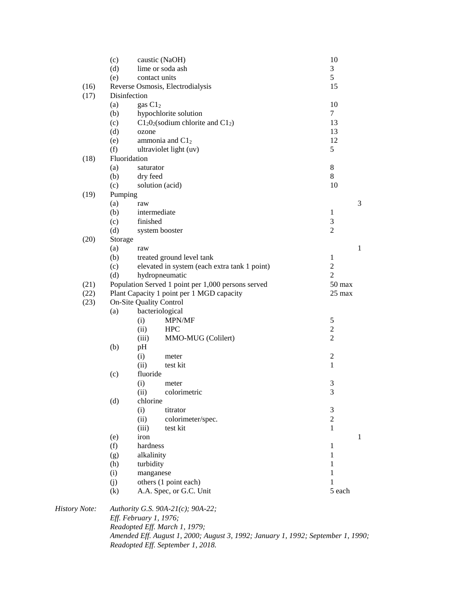|         | (c)<br>(d)                   |                                | caustic (NaOH)<br>lime or soda ash                 | 10<br>3          |              |  |  |  |
|---------|------------------------------|--------------------------------|----------------------------------------------------|------------------|--------------|--|--|--|
|         | (e)                          |                                | contact units                                      | 5                |              |  |  |  |
| (16)    |                              |                                | Reverse Osmosis, Electrodialysis                   | 15               |              |  |  |  |
| (17)    | Disinfection                 |                                |                                                    |                  |              |  |  |  |
|         | (a)                          | gas C12                        | 10                                                 |                  |              |  |  |  |
|         | (b)                          |                                | hypochlorite solution                              | $\overline{7}$   |              |  |  |  |
|         | (c)                          |                                | $C1_20_2$ (sodium chlorite and $C1_2$ )            | 13               |              |  |  |  |
|         | (d)                          | ozone                          |                                                    | 13               |              |  |  |  |
|         | (e)                          |                                | ammonia and $C12$                                  | 12               |              |  |  |  |
|         | (f)                          |                                | ultraviolet light (uv)                             | 5                |              |  |  |  |
| (18)    | Fluoridation                 |                                |                                                    |                  |              |  |  |  |
|         | (a)                          | saturator                      |                                                    | $8\,$            |              |  |  |  |
|         | (b)                          | dry feed                       |                                                    | 8                |              |  |  |  |
|         | (c)                          |                                | solution (acid)                                    | 10               |              |  |  |  |
| (19)    |                              | Pumping                        |                                                    |                  |              |  |  |  |
|         | (a)                          | raw                            |                                                    |                  | 3            |  |  |  |
|         | (b)                          |                                | intermediate                                       | $\mathbf{1}$     |              |  |  |  |
|         | (c)                          | finished                       |                                                    | 3                |              |  |  |  |
|         | (d)                          |                                | system booster                                     | $\overline{c}$   |              |  |  |  |
| (20)    | Storage                      |                                |                                                    |                  |              |  |  |  |
|         | (a)                          | raw                            |                                                    |                  | $\mathbf{1}$ |  |  |  |
|         | (b)                          |                                | treated ground level tank                          | $\mathbf{1}$     |              |  |  |  |
|         | (c)                          |                                | elevated in system (each extra tank 1 point)       | $\overline{2}$   |              |  |  |  |
|         | (d)                          |                                | hydropneumatic                                     | $\overline{2}$   |              |  |  |  |
| (21)    |                              |                                | Population Served 1 point per 1,000 persons served | $50$ max         |              |  |  |  |
| (22)    |                              |                                | Plant Capacity 1 point per 1 MGD capacity          | $25 \text{ max}$ |              |  |  |  |
| (23)    | On-Site Quality Control      |                                |                                                    |                  |              |  |  |  |
|         | (a)                          |                                | bacteriological                                    |                  |              |  |  |  |
|         |                              | (i)                            | MPN/MF                                             | $\mathfrak s$    |              |  |  |  |
|         |                              | (ii)                           | <b>HPC</b>                                         | $\overline{c}$   |              |  |  |  |
|         |                              | (iii)                          | MMO-MUG (Colilert)                                 | $\overline{c}$   |              |  |  |  |
|         | (b)                          | pH                             |                                                    |                  |              |  |  |  |
|         |                              | (i)                            | meter                                              | $\overline{c}$   |              |  |  |  |
|         | (ii)<br>test kit<br>fluoride |                                |                                                    | $\mathbf{1}$     |              |  |  |  |
|         | (c)                          |                                |                                                    |                  |              |  |  |  |
|         |                              | (i)<br>(ii)                    | meter<br>colorimetric                              | 3<br>3           |              |  |  |  |
|         |                              | chlorine                       |                                                    |                  |              |  |  |  |
|         | (d)                          | (i)                            | titrator                                           | 3                |              |  |  |  |
|         |                              | (ii)                           | colorimeter/spec.                                  | $\mathbf{2}$     |              |  |  |  |
|         |                              | (iii)                          | test kit                                           | 1                |              |  |  |  |
|         | (e)                          | iron                           |                                                    |                  | $\mathbf{1}$ |  |  |  |
|         | (f)                          | hardness                       |                                                    | $\mathbf{1}$     |              |  |  |  |
|         | (g)                          |                                |                                                    | $\mathbf{1}$     |              |  |  |  |
|         |                              | alkalinity<br>turbidity<br>(h) |                                                    | 1                |              |  |  |  |
|         | (i)                          | manganese                      |                                                    | 1                |              |  |  |  |
|         | (j)                          |                                | others (1 point each)                              | 1                |              |  |  |  |
|         | (k)                          |                                | A.A. Spec, or G.C. Unit                            | 5 each           |              |  |  |  |
| y Note: |                              |                                | Authority G.S. 90A-21(c); 90A-22;                  |                  |              |  |  |  |
|         |                              | Eff. February 1, 1976;         |                                                    |                  |              |  |  |  |
|         |                              |                                |                                                    |                  |              |  |  |  |

 $History$ *Readopted Eff. March 1, 1979; Amended Eff. August 1, 2000; August 3, 1992; January 1, 1992; September 1, 1990; Readopted Eff. September 1, 2018.*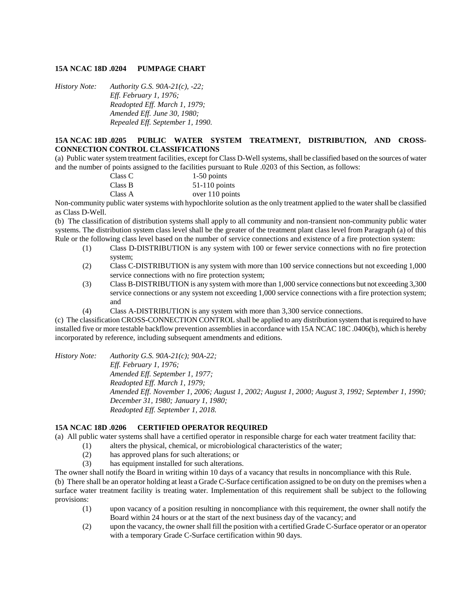## **15A NCAC 18D .0204 PUMPAGE CHART**

*History Note: Authority G.S. 90A-21(c), -22; Eff. February 1, 1976; Readopted Eff. March 1, 1979; Amended Eff. June 30, 1980; Repealed Eff. September 1, 1990.*

# **15A NCAC 18D .0205 PUBLIC WATER SYSTEM TREATMENT, DISTRIBUTION, AND CROSS-CONNECTION CONTROL CLASSIFICATIONS**

(a) Public water system treatment facilities, except for Class D-Well systems, shall be classified based on the sources of water and the number of points assigned to the facilities pursuant to Rule .0203 of this Section, as follows:

| Class C | $1-50$ points   |
|---------|-----------------|
| Class B | $51-110$ points |
| Class A | over 110 points |

Non-community public water systems with hypochlorite solution as the only treatment applied to the water shall be classified as Class D-Well.

(b) The classification of distribution systems shall apply to all community and non-transient non-community public water systems. The distribution system class level shall be the greater of the treatment plant class level from Paragraph (a) of this Rule or the following class level based on the number of service connections and existence of a fire protection system:

- (1) Class D-DISTRIBUTION is any system with 100 or fewer service connections with no fire protection system;
- (2) Class C-DISTRIBUTION is any system with more than 100 service connections but not exceeding 1,000 service connections with no fire protection system;
- (3) Class B-DISTRIBUTION is any system with more than 1,000 service connections but not exceeding 3,300 service connections or any system not exceeding 1,000 service connections with a fire protection system; and
- (4) Class A-DISTRIBUTION is any system with more than 3,300 service connections.

(c) The classification CROSS-CONNECTION CONTROL shall be applied to any distribution system that is required to have installed five or more testable backflow prevention assemblies in accordance with 15A NCAC 18C .0406(b), which is hereby incorporated by reference, including subsequent amendments and editions.

*History Note: Authority G.S. 90A-21(c); 90A-22; Eff. February 1, 1976; Amended Eff. September 1, 1977; Readopted Eff. March 1, 1979; Amended Eff. November 1, 2006; August 1, 2002; August 1, 2000; August 3, 1992; September 1, 1990; December 31, 1980; January 1, 1980; Readopted Eff. September 1, 2018.*

# **15A NCAC 18D .0206 CERTIFIED OPERATOR REQUIRED**

(a) All public water systems shall have a certified operator in responsible charge for each water treatment facility that:

- (1) alters the physical, chemical, or microbiological characteristics of the water;
	- (2) has approved plans for such alterations; or
	- (3) has equipment installed for such alterations.

The owner shall notify the Board in writing within 10 days of a vacancy that results in noncompliance with this Rule.

(b) There shall be an operator holding at least a Grade C-Surface certification assigned to be on duty on the premises when a surface water treatment facility is treating water. Implementation of this requirement shall be subject to the following provisions:

- (1) upon vacancy of a position resulting in noncompliance with this requirement, the owner shall notify the Board within 24 hours or at the start of the next business day of the vacancy; and
- (2) upon the vacancy, the owner shall fill the position with a certified Grade C-Surface operator or an operator with a temporary Grade C-Surface certification within 90 days.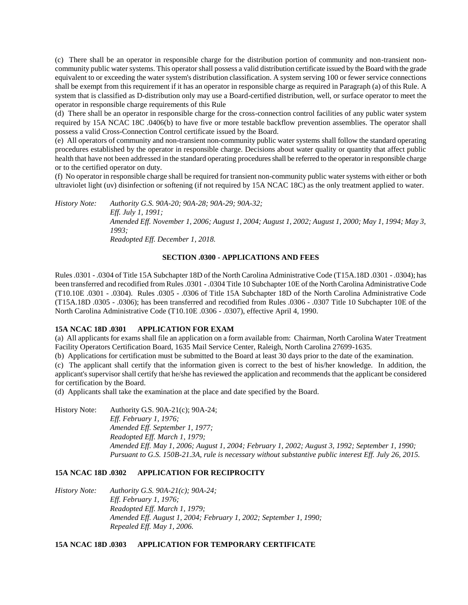(c) There shall be an operator in responsible charge for the distribution portion of community and non-transient noncommunity public water systems. This operator shall possess a valid distribution certificate issued by the Board with the grade equivalent to or exceeding the water system's distribution classification. A system serving 100 or fewer service connections shall be exempt from this requirement if it has an operator in responsible charge as required in Paragraph (a) of this Rule. A system that is classified as D-distribution only may use a Board-certified distribution, well, or surface operator to meet the operator in responsible charge requirements of this Rule

(d) There shall be an operator in responsible charge for the cross-connection control facilities of any public water system required by 15A NCAC 18C .0406(b) to have five or more testable backflow prevention assemblies. The operator shall possess a valid Cross-Connection Control certificate issued by the Board.

(e) All operators of community and non-transient non-community public water systems shall follow the standard operating procedures established by the operator in responsible charge. Decisions about water quality or quantity that affect public health that have not been addressed in the standard operating procedures shall be referred to the operator in responsible charge or to the certified operator on duty.

(f) No operator in responsible charge shall be required for transient non-community public water systems with either or both ultraviolet light (uv) disinfection or softening (if not required by 15A NCAC 18C) as the only treatment applied to water.

*History Note: Authority G.S. 90A-20; 90A-28; 90A-29; 90A-32; Eff. July 1, 1991; Amended Eff. November 1, 2006; August 1, 2004; August 1, 2002; August 1, 2000; May 1, 1994; May 3, 1993; Readopted Eff. December 1, 2018.*

## **SECTION .0300 - APPLICATIONS AND FEES**

Rules .0301 - .0304 of Title 15A Subchapter 18D of the North Carolina Administrative Code (T15A.18D .0301 - .0304); has been transferred and recodified from Rules .0301 - .0304 Title 10 Subchapter 10E of the North Carolina Administrative Code (T10.10E .0301 - .0304). Rules .0305 - .0306 of Title 15A Subchapter 18D of the North Carolina Administrative Code (T15A.18D .0305 - .0306); has been transferred and recodified from Rules .0306 - .0307 Title 10 Subchapter 10E of the North Carolina Administrative Code (T10.10E .0306 - .0307), effective April 4, 1990.

### **15A NCAC 18D .0301 APPLICATION FOR EXAM**

(a) All applicants for exams shall file an application on a form available from: Chairman, North Carolina Water Treatment Facility Operators Certification Board, 1635 Mail Service Center, Raleigh, North Carolina 27699-1635.

(b) Applications for certification must be submitted to the Board at least 30 days prior to the date of the examination.

(c) The applicant shall certify that the information given is correct to the best of his/her knowledge. In addition, the applicant's supervisor shall certify that he/she has reviewed the application and recommends that the applicant be considered for certification by the Board.

(d) Applicants shall take the examination at the place and date specified by the Board.

History Note: Authority G.S. 90A-21(c); 90A-24; *Eff. February 1, 1976; Amended Eff. September 1, 1977; Readopted Eff. March 1, 1979; Amended Eff. May 1, 2006; August 1, 2004; February 1, 2002; August 3, 1992; September 1, 1990; Pursuant to G.S. 150B-21.3A, rule is necessary without substantive public interest Eff. July 26, 2015.*

# **15A NCAC 18D .0302 APPLICATION FOR RECIPROCITY**

*History Note: Authority G.S. 90A-21(c); 90A-24; Eff. February 1, 1976; Readopted Eff. March 1, 1979; Amended Eff. August 1, 2004; February 1, 2002; September 1, 1990; Repealed Eff. May 1, 2006.*

### **15A NCAC 18D .0303 APPLICATION FOR TEMPORARY CERTIFICATE**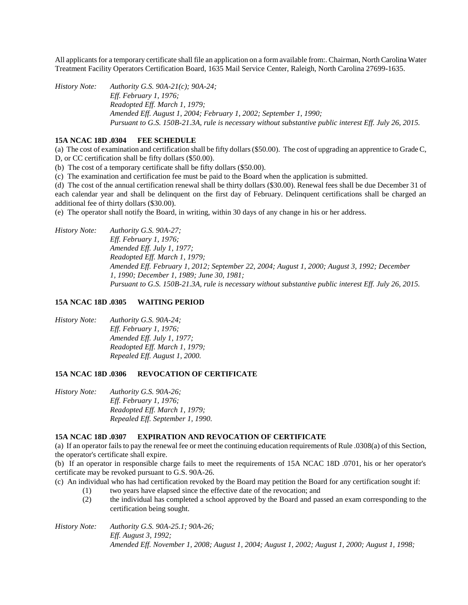All applicants for a temporary certificate shall file an application on a form available from:. Chairman, North Carolina Water Treatment Facility Operators Certification Board, 1635 Mail Service Center, Raleigh, North Carolina 27699-1635.

*History Note: Authority G.S. 90A-21(c); 90A-24; Eff. February 1, 1976; Readopted Eff. March 1, 1979; Amended Eff. August 1, 2004; February 1, 2002; September 1, 1990; Pursuant to G.S. 150B-21.3A, rule is necessary without substantive public interest Eff. July 26, 2015.*

## **15A NCAC 18D .0304 FEE SCHEDULE**

(a) The cost of examination and certification shall be fifty dollars (\$50.00). The cost of upgrading an apprentice to Grade C, D, or CC certification shall be fifty dollars (\$50.00).

(b) The cost of a temporary certificate shall be fifty dollars (\$50.00).

(c) The examination and certification fee must be paid to the Board when the application is submitted.

(d) The cost of the annual certification renewal shall be thirty dollars (\$30.00). Renewal fees shall be due December 31 of each calendar year and shall be delinquent on the first day of February. Delinquent certifications shall be charged an additional fee of thirty dollars (\$30.00).

(e) The operator shall notify the Board, in writing, within 30 days of any change in his or her address.

*History Note: Authority G.S. 90A-27; Eff. February 1, 1976; Amended Eff. July 1, 1977; Readopted Eff. March 1, 1979; Amended Eff. February 1, 2012; September 22, 2004; August 1, 2000; August 3, 1992; December 1, 1990; December 1, 1989; June 30, 1981; Pursuant to G.S. 150B-21.3A, rule is necessary without substantive public interest Eff. July 26, 2015.*

## **15A NCAC 18D .0305 WAITING PERIOD**

*History Note: Authority G.S. 90A-24; Eff. February 1, 1976; Amended Eff. July 1, 1977; Readopted Eff. March 1, 1979; Repealed Eff. August 1, 2000.*

# **15A NCAC 18D .0306 REVOCATION OF CERTIFICATE**

*History Note: Authority G.S. 90A-26; Eff. February 1, 1976; Readopted Eff. March 1, 1979; Repealed Eff. September 1, 1990.*

### **15A NCAC 18D .0307 EXPIRATION AND REVOCATION OF CERTIFICATE**

(a) If an operator fails to pay the renewal fee or meet the continuing education requirements of Rule .0308(a) of this Section, the operator's certificate shall expire.

(b) If an operator in responsible charge fails to meet the requirements of 15A NCAC 18D .0701, his or her operator's certificate may be revoked pursuant to G.S. 90A-26.

- (c) An individual who has had certification revoked by the Board may petition the Board for any certification sought if:
	- (1) two years have elapsed since the effective date of the revocation; and
	- (2) the individual has completed a school approved by the Board and passed an exam corresponding to the certification being sought.

*History Note: Authority G.S. 90A-25.1; 90A-26; Eff. August 3, 1992; Amended Eff. November 1, 2008; August 1, 2004; August 1, 2002; August 1, 2000; August 1, 1998;*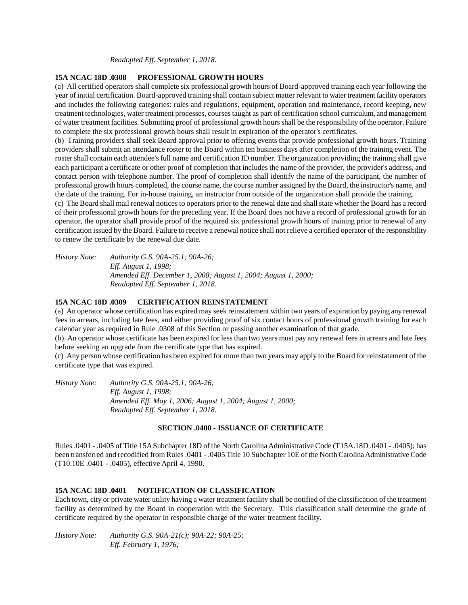#### *Readopted Eff. September 1, 2018.*

## **15A NCAC 18D .0308 PROFESSIONAL GROWTH HOURS**

(a) All certified operators shall complete six professional growth hours of Board-approved training each year following the year of initial certification. Board-approved training shall contain subject matter relevant to water treatment facility operators and includes the following categories: rules and regulations, equipment, operation and maintenance, record keeping, new treatment technologies, water treatment processes, courses taught as part of certification school curriculum, and management of water treatment facilities. Submitting proof of professional growth hours shall be the responsibility of the operator. Failure to complete the six professional growth hours shall result in expiration of the operator's certificates.

(b) Training providers shall seek Board approval prior to offering events that provide professional growth hours. Training providers shall submit an attendance roster to the Board within ten business days after completion of the training event. The roster shall contain each attendee's full name and certification ID number. The organization providing the training shall give each participant a certificate or other proof of completion that includes the name of the provider, the provider's address, and contact person with telephone number. The proof of completion shall identify the name of the participant, the number of professional growth hours completed, the course name, the course number assigned by the Board, the instructor's name, and the date of the training. For in-house training, an instructor from outside of the organization shall provide the training.

(c) The Board shall mail renewal notices to operators prior to the renewal date and shall state whether the Board has a record of their professional growth hours for the preceding year. If the Board does not have a record of professional growth for an operator, the operator shall provide proof of the required six professional growth hours of training prior to renewal of any certification issued by the Board. Failure to receive a renewal notice shall not relieve a certified operator of the responsibility to renew the certificate by the renewal due date.

*History Note: Authority G.S. 90A-25.1; 90A-26; Eff. August 1, 1998; Amended Eff. December 1, 2008; August 1, 2004; August 1, 2000; Readopted Eff. September 1, 2018.*

## **15A NCAC 18D .0309 CERTIFICATION REINSTATEMENT**

(a) An operator whose certification has expired may seek reinstatement within two years of expiration by paying any renewal fees in arrears, including late fees, and either providing proof of six contact hours of professional growth training for each calendar year as required in Rule .0308 of this Section or passing another examination of that grade.

(b) An operator whose certificate has been expired for less than two years must pay any renewal fees in arrears and late fees before seeking an upgrade from the certificate type that has expired.

(c) Any person whose certification has been expired for more than two years may apply to the Board for reinstatement of the certificate type that was expired.

*History Note: Authority G.S. 90A-25.1; 90A-26; Eff. August 1, 1998; Amended Eff. May 1, 2006; August 1, 2004; August 1, 2000; Readopted Eff. September 1, 2018.*

## **SECTION .0400 - ISSUANCE OF CERTIFICATE**

Rules .0401 - .0405 of Title 15A Subchapter 18D of the North Carolina Administrative Code (T15A.18D .0401 - .0405); has been transferred and recodified from Rules .0401 - .0405 Title 10 Subchapter 10E of the North Carolina Administrative Code (T10.10E .0401 - .0405), effective April 4, 1990.

### **15A NCAC 18D .0401 NOTIFICATION OF CLASSIFICATION**

Each town, city or private water utility having a water treatment facility shall be notified of the classification of the treatment facility as determined by the Board in cooperation with the Secretary. This classification shall determine the grade of certificate required by the operator in responsible charge of the water treatment facility.

*History Note: Authority G.S. 90A-21(c); 90A-22; 90A-25; Eff. February 1, 1976;*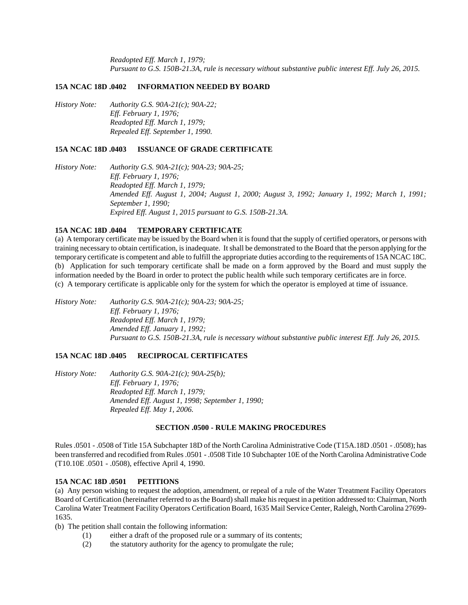*Readopted Eff. March 1, 1979; Pursuant to G.S. 150B-21.3A, rule is necessary without substantive public interest Eff. July 26, 2015.*

#### **15A NCAC 18D .0402 INFORMATION NEEDED BY BOARD**

*History Note: Authority G.S. 90A-21(c); 90A-22; Eff. February 1, 1976; Readopted Eff. March 1, 1979; Repealed Eff. September 1, 1990.*

### **15A NCAC 18D .0403 ISSUANCE OF GRADE CERTIFICATE**

*History Note: Authority G.S. 90A-21(c); 90A-23; 90A-25; Eff. February 1, 1976; Readopted Eff. March 1, 1979; Amended Eff. August 1, 2004; August 1, 2000; August 3, 1992; January 1, 1992; March 1, 1991; September 1, 1990; Expired Eff. August 1, 2015 pursuant to G.S. 150B-21.3A.*

#### **15A NCAC 18D .0404 TEMPORARY CERTIFICATE**

(a) A temporary certificate may be issued by the Board when it is found that the supply of certified operators, or persons with training necessary to obtain certification, is inadequate. It shall be demonstrated to the Board that the person applying for the temporary certificate is competent and able to fulfill the appropriate duties according to the requirements of 15A NCAC 18C. (b) Application for such temporary certificate shall be made on a form approved by the Board and must supply the information needed by the Board in order to protect the public health while such temporary certificates are in force. (c) A temporary certificate is applicable only for the system for which the operator is employed at time of issuance.

*History Note: Authority G.S. 90A-21(c); 90A-23; 90A-25; Eff. February 1, 1976; Readopted Eff. March 1, 1979; Amended Eff. January 1, 1992; Pursuant to G.S. 150B-21.3A, rule is necessary without substantive public interest Eff. July 26, 2015.*

## **15A NCAC 18D .0405 RECIPROCAL CERTIFICATES**

*History Note: Authority G.S. 90A-21(c); 90A-25(b); Eff. February 1, 1976; Readopted Eff. March 1, 1979; Amended Eff. August 1, 1998; September 1, 1990; Repealed Eff. May 1, 2006.*

## **SECTION .0500 - RULE MAKING PROCEDURES**

Rules .0501 - .0508 of Title 15A Subchapter 18D of the North Carolina Administrative Code (T15A.18D .0501 - .0508); has been transferred and recodified from Rules .0501 - .0508 Title 10 Subchapter 10E of the North Carolina Administrative Code (T10.10E .0501 - .0508), effective April 4, 1990.

#### **15A NCAC 18D .0501 PETITIONS**

(a) Any person wishing to request the adoption, amendment, or repeal of a rule of the Water Treatment Facility Operators Board of Certification (hereinafter referred to as the Board) shall make his request in a petition addressed to: Chairman, North Carolina Water Treatment Facility Operators Certification Board, 1635 Mail Service Center, Raleigh, North Carolina 27699- 1635.

(b) The petition shall contain the following information:

- (1) either a draft of the proposed rule or a summary of its contents;
- (2) the statutory authority for the agency to promulgate the rule;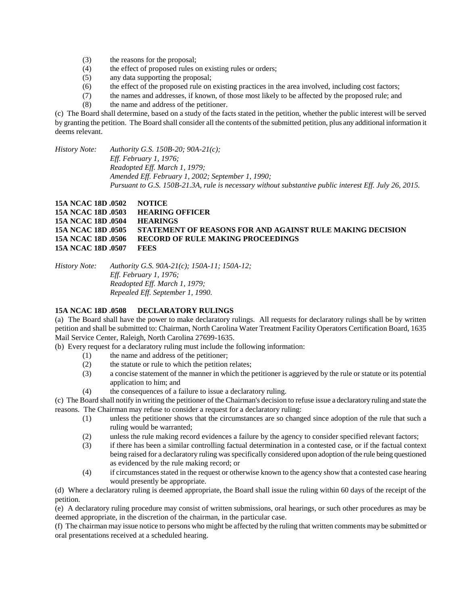- (3) the reasons for the proposal;
- (4) the effect of proposed rules on existing rules or orders;
- (5) any data supporting the proposal;
- (6) the effect of the proposed rule on existing practices in the area involved, including cost factors;
- (7) the names and addresses, if known, of those most likely to be affected by the proposed rule; and
- (8) the name and address of the petitioner.

(c) The Board shall determine, based on a study of the facts stated in the petition, whether the public interest will be served by granting the petition. The Board shall consider all the contents of the submitted petition, plus any additional information it deems relevant.

*History Note: Authority G.S. 150B-20; 90A-21(c); Eff. February 1, 1976; Readopted Eff. March 1, 1979; Amended Eff. February 1, 2002; September 1, 1990; Pursuant to G.S. 150B-21.3A, rule is necessary without substantive public interest Eff. July 26, 2015.*

# **15A NCAC 18D .0502 NOTICE 15A NCAC 18D .0503 HEARING OFFICER 15A NCAC 18D .0504 HEARINGS 15A NCAC 18D .0505 STATEMENT OF REASONS FOR AND AGAINST RULE MAKING DECISION 15A NCAC 18D .0506 RECORD OF RULE MAKING PROCEEDINGS 15A NCAC 18D .0507 FEES**

*History Note: Authority G.S. 90A-21(c); 150A-11; 150A-12; Eff. February 1, 1976; Readopted Eff. March 1, 1979; Repealed Eff. September 1, 1990.*

# **15A NCAC 18D .0508 DECLARATORY RULINGS**

(a) The Board shall have the power to make declaratory rulings. All requests for declaratory rulings shall be by written petition and shall be submitted to: Chairman, North Carolina Water Treatment Facility Operators Certification Board, 1635 Mail Service Center, Raleigh, North Carolina 27699-1635.

(b) Every request for a declaratory ruling must include the following information:

- (1) the name and address of the petitioner;
- (2) the statute or rule to which the petition relates;
- (3) a concise statement of the manner in which the petitioner is aggrieved by the rule or statute or its potential application to him; and
- (4) the consequences of a failure to issue a declaratory ruling.

(c) The Board shall notify in writing the petitioner of the Chairman's decision to refuse issue a declaratory ruling and state the reasons. The Chairman may refuse to consider a request for a declaratory ruling:

- (1) unless the petitioner shows that the circumstances are so changed since adoption of the rule that such a ruling would be warranted;
- (2) unless the rule making record evidences a failure by the agency to consider specified relevant factors;
- (3) if there has been a similar controlling factual determination in a contested case, or if the factual context being raised for a declaratory ruling was specifically considered upon adoption of the rule being questioned as evidenced by the rule making record; or
- (4) if circumstances stated in the request or otherwise known to the agency show that a contested case hearing would presently be appropriate.

(d) Where a declaratory ruling is deemed appropriate, the Board shall issue the ruling within 60 days of the receipt of the petition.

(e) A declaratory ruling procedure may consist of written submissions, oral hearings, or such other procedures as may be deemed appropriate, in the discretion of the chairman, in the particular case.

(f) The chairman may issue notice to persons who might be affected by the ruling that written comments may be submitted or oral presentations received at a scheduled hearing.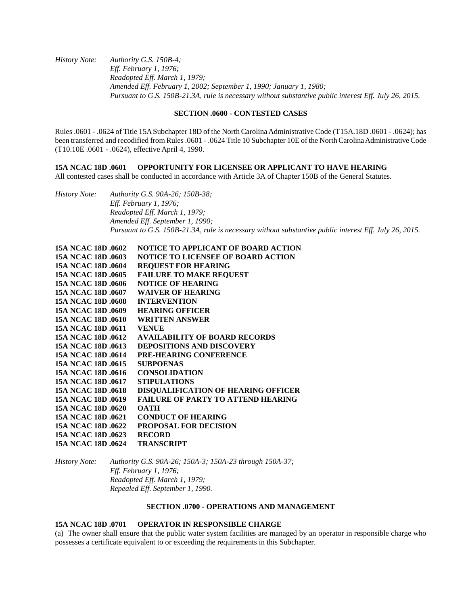*History Note: Authority G.S. 150B-4; Eff. February 1, 1976; Readopted Eff. March 1, 1979; Amended Eff. February 1, 2002; September 1, 1990; January 1, 1980; Pursuant to G.S. 150B-21.3A, rule is necessary without substantive public interest Eff. July 26, 2015.*

# **SECTION .0600 - CONTESTED CASES**

Rules .0601 - .0624 of Title 15A Subchapter 18D of the North Carolina Administrative Code (T15A.18D .0601 - .0624); has been transferred and recodified from Rules .0601 - .0624 Title 10 Subchapter 10E of the North Carolina Administrative Code (T10.10E .0601 - .0624), effective April 4, 1990.

**15A NCAC 18D .0601 OPPORTUNITY FOR LICENSEE OR APPLICANT TO HAVE HEARING** All contested cases shall be conducted in accordance with Article 3A of Chapter 150B of the General Statutes.

*History Note: Authority G.S. 90A-26; 150B-38; Eff. February 1, 1976; Readopted Eff. March 1, 1979; Amended Eff. September 1, 1990; Pursuant to G.S. 150B-21.3A, rule is necessary without substantive public interest Eff. July 26, 2015.* 

| 15A NCAC 18D .0602 | NOTICE TO APPLICANT OF BOARD ACTION        |
|--------------------|--------------------------------------------|
| 15A NCAC 18D .0603 | <b>NOTICE TO LICENSEE OF BOARD ACTION</b>  |
| 15A NCAC 18D .0604 | <b>REQUEST FOR HEARING</b>                 |
| 15A NCAC 18D .0605 | <b>FAILURE TO MAKE REQUEST</b>             |
| 15A NCAC 18D .0606 | <b>NOTICE OF HEARING</b>                   |
| 15A NCAC 18D .0607 | <b>WAIVER OF HEARING</b>                   |
| 15A NCAC 18D 0608  | <b>INTERVENTION</b>                        |
| 15A NCAC 18D .0609 | <b>HEARING OFFICER</b>                     |
| 15A NCAC 18D 0610  | <b>WRITTEN ANSWER</b>                      |
| 15A NCAC 18D .0611 | <b>VENUE</b>                               |
| 15A NCAC 18D .0612 | <b>AVAILABILITY OF BOARD RECORDS</b>       |
| 15A NCAC 18D .0613 | <b>DEPOSITIONS AND DISCOVERY</b>           |
| 15A NCAC 18D 0614  | <b>PRE-HEARING CONFERENCE</b>              |
| 15A NCAC 18D .0615 | <b>SUBPOENAS</b>                           |
| 15A NCAC 18D .0616 | <b>CONSOLIDATION</b>                       |
| 15A NCAC 18D .0617 | <b>STIPULATIONS</b>                        |
| 15A NCAC 18D .0618 | <b>DISQUALIFICATION OF HEARING OFFICER</b> |
| 15A NCAC 18D 0619  | <b>FAILURE OF PARTY TO ATTEND HEARING</b>  |
| 15A NCAC 18D .0620 | ОАТН                                       |
| 15A NCAC 18D .0621 | <b>CONDUCT OF HEARING</b>                  |
| 15A NCAC 18D .0622 | <b>PROPOSAL FOR DECISION</b>               |
| 15A NCAC 18D .0623 | <b>RECORD</b>                              |
| 15A NCAC 18D .0624 | <b>TRANSCRIPT</b>                          |

*History Note: Authority G.S. 90A-26; 150A-3; 150A-23 through 150A-37; Eff. February 1, 1976; Readopted Eff. March 1, 1979; Repealed Eff. September 1, 1990.*

### **SECTION .0700 - OPERATIONS AND MANAGEMENT**

### **15A NCAC 18D .0701 OPERATOR IN RESPONSIBLE CHARGE**

(a) The owner shall ensure that the public water system facilities are managed by an operator in responsible charge who possesses a certificate equivalent to or exceeding the requirements in this Subchapter.